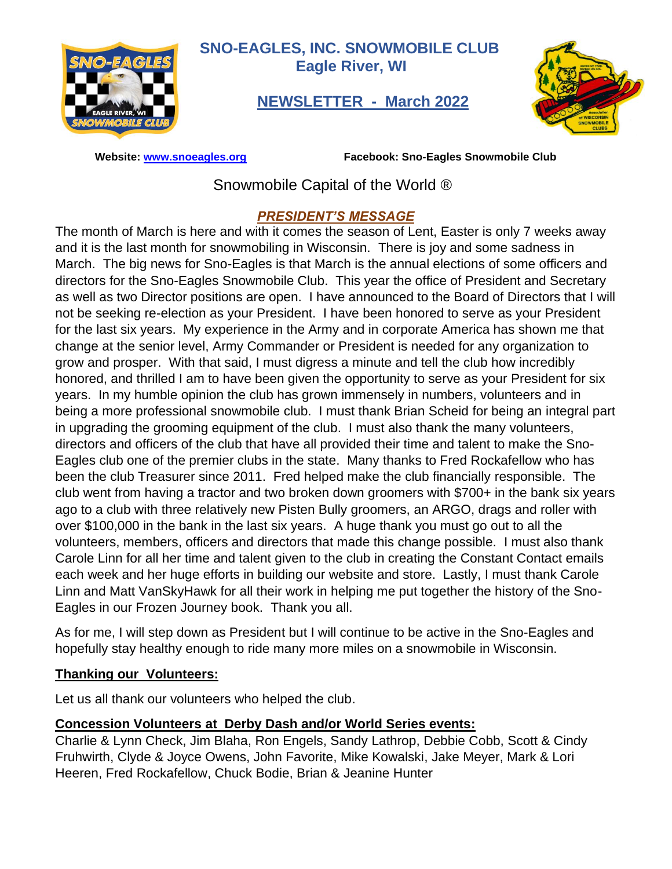

**SNO-EAGLES, INC. SNOWMOBILE CLUB Eagle River, WI**

 **NEWSLETTER - March 2022**



 **Website: [www.snoeagles.org](http://www.snoeagles.org/) Facebook: Sno-Eagles Snowmobile Club** 

Snowmobile Capital of the World ®

## *PRESIDENT'S MESSAGE*

The month of March is here and with it comes the season of Lent, Easter is only 7 weeks away and it is the last month for snowmobiling in Wisconsin. There is joy and some sadness in March. The big news for Sno-Eagles is that March is the annual elections of some officers and directors for the Sno-Eagles Snowmobile Club. This year the office of President and Secretary as well as two Director positions are open. I have announced to the Board of Directors that I will not be seeking re-election as your President. I have been honored to serve as your President for the last six years. My experience in the Army and in corporate America has shown me that change at the senior level, Army Commander or President is needed for any organization to grow and prosper. With that said, I must digress a minute and tell the club how incredibly honored, and thrilled I am to have been given the opportunity to serve as your President for six years. In my humble opinion the club has grown immensely in numbers, volunteers and in being a more professional snowmobile club. I must thank Brian Scheid for being an integral part in upgrading the grooming equipment of the club. I must also thank the many volunteers, directors and officers of the club that have all provided their time and talent to make the Sno-Eagles club one of the premier clubs in the state. Many thanks to Fred Rockafellow who has been the club Treasurer since 2011. Fred helped make the club financially responsible. The club went from having a tractor and two broken down groomers with \$700+ in the bank six years ago to a club with three relatively new Pisten Bully groomers, an ARGO, drags and roller with over \$100,000 in the bank in the last six years. A huge thank you must go out to all the volunteers, members, officers and directors that made this change possible. I must also thank Carole Linn for all her time and talent given to the club in creating the Constant Contact emails each week and her huge efforts in building our website and store. Lastly, I must thank Carole Linn and Matt VanSkyHawk for all their work in helping me put together the history of the Sno-Eagles in our Frozen Journey book. Thank you all.

As for me, I will step down as President but I will continue to be active in the Sno-Eagles and hopefully stay healthy enough to ride many more miles on a snowmobile in Wisconsin.

#### **Thanking our Volunteers:**

Let us all thank our volunteers who helped the club.

## **Concession Volunteers at Derby Dash and/or World Series events:**

Charlie & Lynn Check, Jim Blaha, Ron Engels, Sandy Lathrop, Debbie Cobb, Scott & Cindy Fruhwirth, Clyde & Joyce Owens, John Favorite, Mike Kowalski, Jake Meyer, Mark & Lori Heeren, Fred Rockafellow, Chuck Bodie, Brian & Jeanine Hunter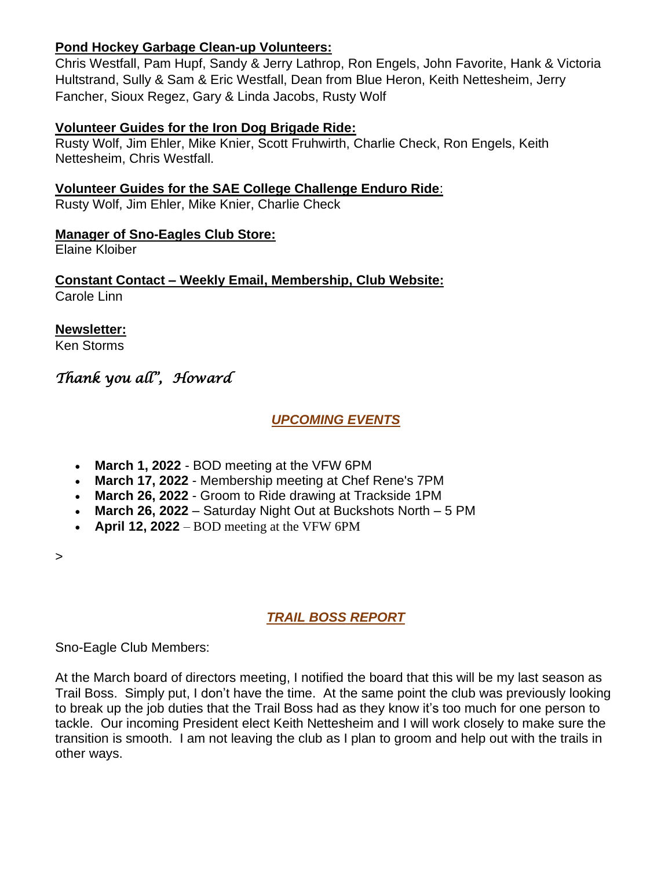#### **Pond Hockey Garbage Clean-up Volunteers:**

Chris Westfall, Pam Hupf, Sandy & Jerry Lathrop, Ron Engels, John Favorite, Hank & Victoria Hultstrand, Sully & Sam & Eric Westfall, Dean from Blue Heron, Keith Nettesheim, Jerry Fancher, Sioux Regez, Gary & Linda Jacobs, Rusty Wolf

#### **Volunteer Guides for the Iron Dog Brigade Ride:**

Rusty Wolf, Jim Ehler, Mike Knier, Scott Fruhwirth, Charlie Check, Ron Engels, Keith Nettesheim, Chris Westfall.

**Volunteer Guides for the SAE College Challenge Enduro Ride**:

Rusty Wolf, Jim Ehler, Mike Knier, Charlie Check

#### **Manager of Sno-Eagles Club Store:**

Elaine Kloiber

**Constant Contact – Weekly Email, Membership, Club Website:** Carole Linn

**Newsletter:** Ken Storms

# *Thank you all",**Howard*

#### *UPCOMING EVENTS*

- **March 1, 2022** BOD meeting at the VFW 6PM
- **March 17, 2022** Membership meeting at Chef Rene's 7PM
- **March 26, 2022** Groom to Ride drawing at Trackside 1PM
- **March 26, 2022** Saturday Night Out at Buckshots North 5 PM
- **April 12, 2022**  BOD meeting at the VFW 6PM

>

## *TRAIL BOSS REPORT*

Sno-Eagle Club Members:

At the March board of directors meeting, I notified the board that this will be my last season as Trail Boss. Simply put, I don't have the time. At the same point the club was previously looking to break up the job duties that the Trail Boss had as they know it's too much for one person to tackle. Our incoming President elect Keith Nettesheim and I will work closely to make sure the transition is smooth. I am not leaving the club as I plan to groom and help out with the trails in other ways.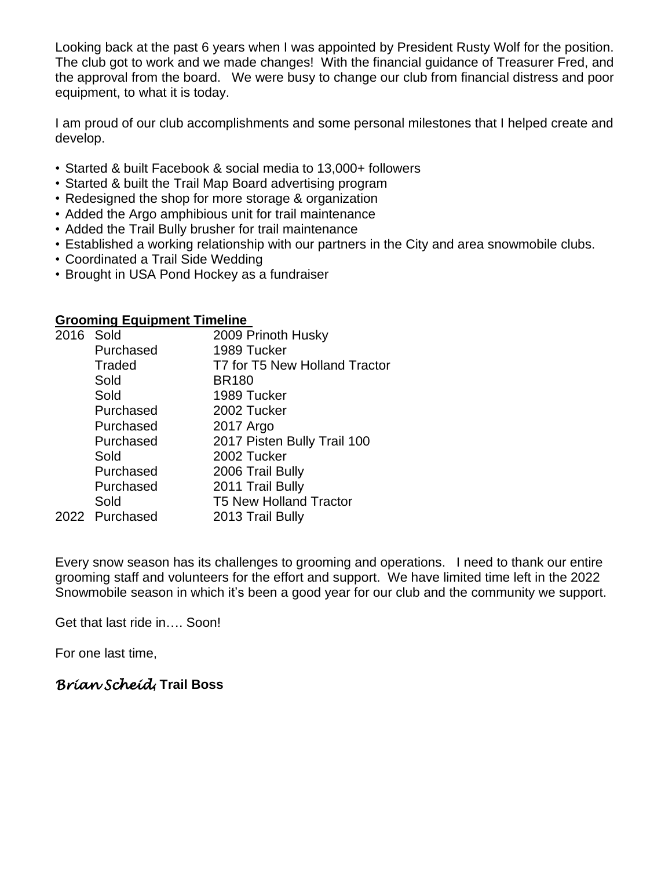Looking back at the past 6 years when I was appointed by President Rusty Wolf for the position. The club got to work and we made changes! With the financial guidance of Treasurer Fred, and the approval from the board. We were busy to change our club from financial distress and poor equipment, to what it is today.

I am proud of our club accomplishments and some personal milestones that I helped create and develop.

- Started & built Facebook & social media to 13,000+ followers
- Started & built the Trail Map Board advertising program
- Redesigned the shop for more storage & organization
- Added the Argo amphibious unit for trail maintenance
- Added the Trail Bully brusher for trail maintenance
- Established a working relationship with our partners in the City and area snowmobile clubs.
- Coordinated a Trail Side Wedding
- Brought in USA Pond Hockey as a fundraiser

#### **Grooming Equipment Timeline**

| 2016 Sold |                | 2009 Prinoth Husky            |
|-----------|----------------|-------------------------------|
|           | Purchased      | 1989 Tucker                   |
|           | <b>Traded</b>  | T7 for T5 New Holland Tractor |
|           | Sold           | <b>BR180</b>                  |
|           | Sold           | 1989 Tucker                   |
|           | Purchased      | 2002 Tucker                   |
|           | Purchased      | 2017 Argo                     |
|           | Purchased      | 2017 Pisten Bully Trail 100   |
|           | Sold           | 2002 Tucker                   |
|           | Purchased      | 2006 Trail Bully              |
|           | Purchased      | 2011 Trail Bully              |
|           | Sold           | <b>T5 New Holland Tractor</b> |
|           | 2022 Purchased | 2013 Trail Bully              |
|           |                |                               |

Every snow season has its challenges to grooming and operations. I need to thank our entire grooming staff and volunteers for the effort and support. We have limited time left in the 2022 Snowmobile season in which it's been a good year for our club and the community we support.

Get that last ride in…. Soon!

For one last time,

## *Brian Scheid***, Trail Boss**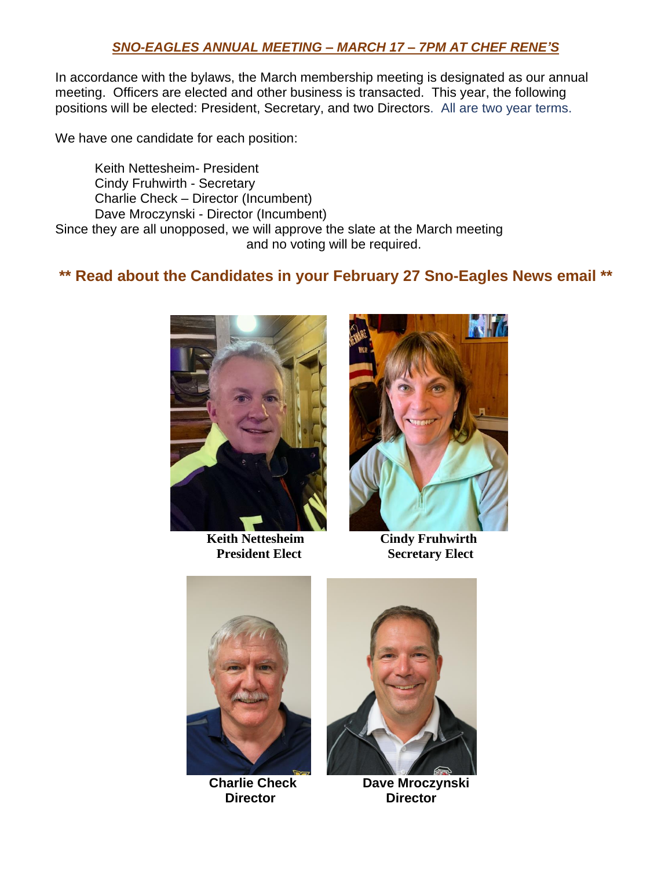#### *SNO-EAGLES ANNUAL MEETING – MARCH 17 – 7PM AT CHEF RENE'S*

In accordance with the bylaws, the March membership meeting is designated as our annual meeting. Officers are elected and other business is transacted. This year, the following positions will be elected: President, Secretary, and two Directors. All are two year terms.

We have one candidate for each position:

Keith Nettesheim- President Cindy Fruhwirth - Secretary Charlie Check – Director (Incumbent) Dave Mroczynski - Director (Incumbent)

Since they are all unopposed, we will approve the slate at the March meeting and no voting will be required.

# **\*\* Read about the Candidates in your February 27 Sno-Eagles News email \*\***



**Keith Nettesheim Cindy Fruhwirth** 



**President Elect** Secretary Elect





 **Charlie Check Dave Mroczynski Director Director**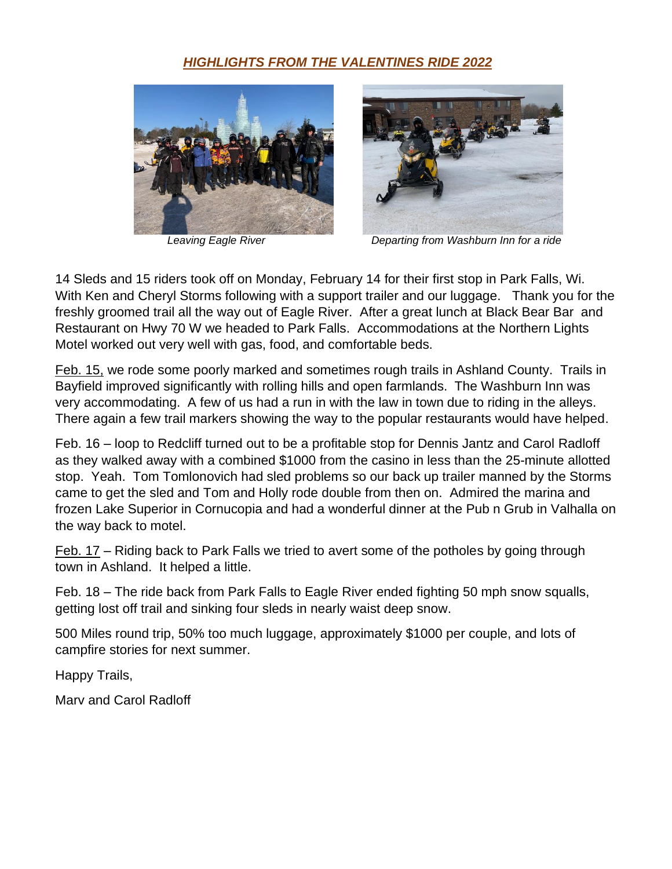# *HIGHLIGHTS FROM THE VALENTINES RIDE 2022*





*Leaving Eagle River Departing from Washburn Inn for a ride*

14 Sleds and 15 riders took off on Monday, February 14 for their first stop in Park Falls, Wi. With Ken and Cheryl Storms following with a support trailer and our luggage. Thank you for the freshly groomed trail all the way out of Eagle River. After a great lunch at Black Bear Bar and Restaurant on Hwy 70 W we headed to Park Falls. Accommodations at the Northern Lights Motel worked out very well with gas, food, and comfortable beds.

Feb. 15, we rode some poorly marked and sometimes rough trails in Ashland County. Trails in Bayfield improved significantly with rolling hills and open farmlands. The Washburn Inn was very accommodating. A few of us had a run in with the law in town due to riding in the alleys. There again a few trail markers showing the way to the popular restaurants would have helped.

Feb. 16 – loop to Redcliff turned out to be a profitable stop for Dennis Jantz and Carol Radloff as they walked away with a combined \$1000 from the casino in less than the 25-minute allotted stop. Yeah. Tom Tomlonovich had sled problems so our back up trailer manned by the Storms came to get the sled and Tom and Holly rode double from then on. Admired the marina and frozen Lake Superior in Cornucopia and had a wonderful dinner at the Pub n Grub in Valhalla on the way back to motel.

Feb. 17 – Riding back to Park Falls we tried to avert some of the potholes by going through town in Ashland. It helped a little.

Feb. 18 – The ride back from Park Falls to Eagle River ended fighting 50 mph snow squalls, getting lost off trail and sinking four sleds in nearly waist deep snow.

500 Miles round trip, 50% too much luggage, approximately \$1000 per couple, and lots of campfire stories for next summer.

Happy Trails,

Marv and Carol Radloff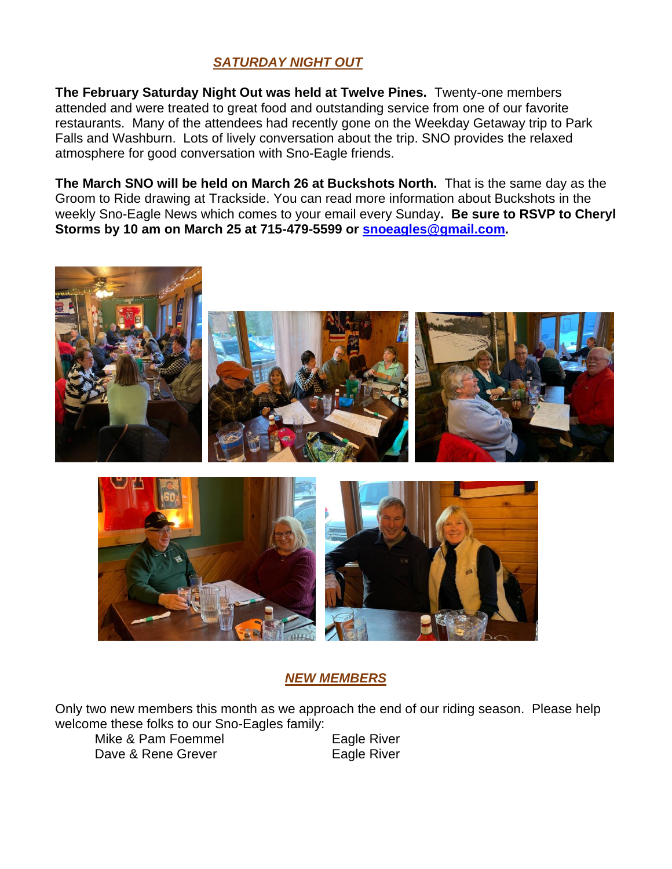## *SATURDAY NIGHT OUT*

**The February Saturday Night Out was held at Twelve Pines.** Twenty-one members attended and were treated to great food and outstanding service from one of our favorite restaurants. Many of the attendees had recently gone on the Weekday Getaway trip to Park Falls and Washburn. Lots of lively conversation about the trip. SNO provides the relaxed atmosphere for good conversation with Sno-Eagle friends.

**The March SNO will be held on March 26 at Buckshots North.** That is the same day as the Groom to Ride drawing at Trackside. You can read more information about Buckshots in the weekly Sno-Eagle News which comes to your email every Sunday**. Be sure to RSVP to Cheryl Storms by 10 am on March 25 at 715-479-5599 or [snoeagles@gmail.com.](mailto:snoeagles@gmail.com)**



## *NEW MEMBERS*

Only two new members this month as we approach the end of our riding season. Please help welcome these folks to our Sno-Eagles family:

Mike & Pam Foemmel Eagle River Dave & Rene Grever **Eagle River**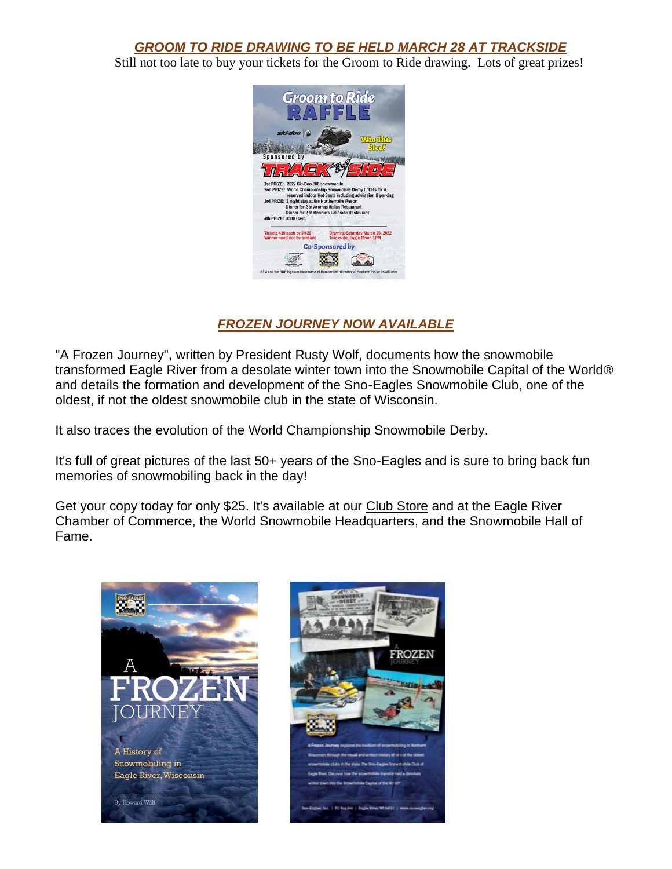*GROOM TO RIDE DRAWING TO BE HELD MARCH 28 AT TRACKSIDE*

Still not too late to buy your tickets for the Groom to Ride drawing. Lots of great prizes!



## *FROZEN JOURNEY NOW AVAILABLE*

"A Frozen Journey", written by President Rusty Wolf, documents how the snowmobile transformed Eagle River from a desolate winter town into the Snowmobile Capital of the World® and details the formation and development of the Sno-Eagles Snowmobile Club, one of the oldest, if not the oldest snowmobile club in the state of Wisconsin.

It also traces the evolution of the World Championship Snowmobile Derby.

It's full of great pictures of the last 50+ years of the Sno-Eagles and is sure to bring back fun memories of snowmobiling back in the day!

Get your copy today for only \$25. It's available at our [Club Store](https://r20.rs6.net/tn.jsp?f=001NOcbcdEUqkCq4K2sQ8oNrRVXMuYkAOwWqLNs171a2ZHm31MjVEfYkMBC9scu5UN7NzFJ59S_L-hdIdCuuFUcXkbDTYovaxDo_-HRIKeSZP3WcEGbl9-RKauDRnjJjArNXlDUkPPShbDP4xTtDxAbIw==&c=zEZTOTS6S9xCtdokmNmIANyGJ9q6ooMCAo77F4z-T50s9VmbR6trZw==&ch=yImPNchS5FImQKKRFRzp9fNEXLze67W0fW6-jZ1oen6PNc0sK_M5mw==) and at the Eagle River Chamber of Commerce, the World Snowmobile Headquarters, and the Snowmobile Hall of Fame.



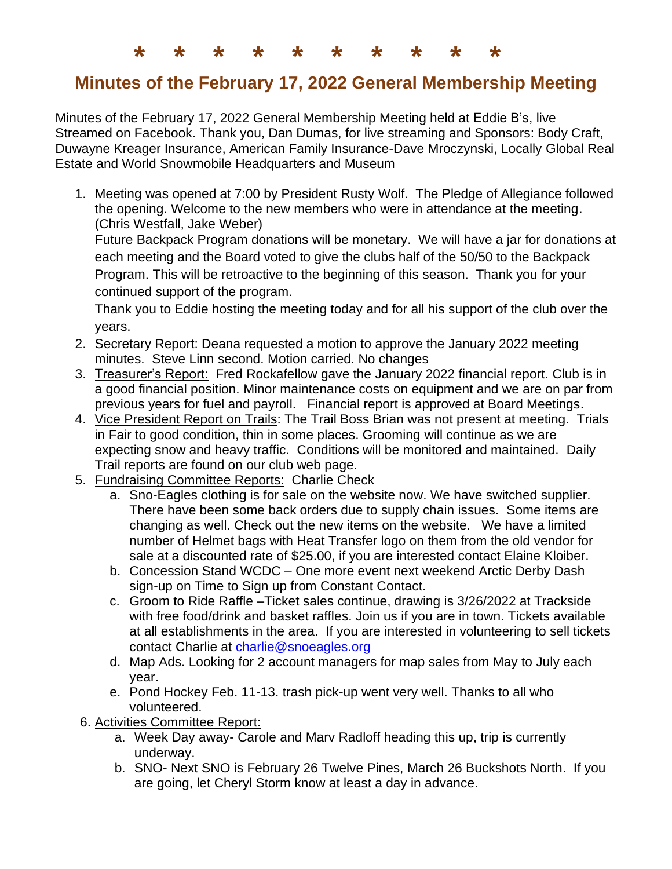**\* \* \* \* \* \* \* \* \* \***

# **Minutes of the February 17, 2022 General Membership Meeting**

Minutes of the February 17, 2022 General Membership Meeting held at Eddie B's, live Streamed on Facebook. Thank you, Dan Dumas, for live streaming and Sponsors: Body Craft, Duwayne Kreager Insurance, American Family Insurance-Dave Mroczynski, Locally Global Real Estate and World Snowmobile Headquarters and Museum

1. Meeting was opened at 7:00 by President Rusty Wolf. The Pledge of Allegiance followed the opening. Welcome to the new members who were in attendance at the meeting. (Chris Westfall, Jake Weber)

Future Backpack Program donations will be monetary. We will have a jar for donations at each meeting and the Board voted to give the clubs half of the 50/50 to the Backpack Program. This will be retroactive to the beginning of this season. Thank you for your continued support of the program.

Thank you to Eddie hosting the meeting today and for all his support of the club over the years.

- 2. Secretary Report: Deana requested a motion to approve the January 2022 meeting minutes. Steve Linn second. Motion carried. No changes
- 3. Treasurer's Report: Fred Rockafellow gave the January 2022 financial report. Club is in a good financial position. Minor maintenance costs on equipment and we are on par from previous years for fuel and payroll. Financial report is approved at Board Meetings.
- 4. Vice President Report on Trails: The Trail Boss Brian was not present at meeting. Trials in Fair to good condition, thin in some places. Grooming will continue as we are expecting snow and heavy traffic. Conditions will be monitored and maintained. Daily Trail reports are found on our club web page.
- 5. Fundraising Committee Reports: Charlie Check
	- a. Sno-Eagles clothing is for sale on the website now. We have switched supplier. There have been some back orders due to supply chain issues. Some items are changing as well. Check out the new items on the website. We have a limited number of Helmet bags with Heat Transfer logo on them from the old vendor for sale at a discounted rate of \$25.00, if you are interested contact Elaine Kloiber.
	- b. Concession Stand WCDC One more event next weekend Arctic Derby Dash sign-up on Time to Sign up from Constant Contact.
	- c. Groom to Ride Raffle –Ticket sales continue, drawing is 3/26/2022 at Trackside with free food/drink and basket raffles. Join us if you are in town. Tickets available at all establishments in the area. If you are interested in volunteering to sell tickets contact Charlie at [charlie@snoeagles.org](about:blank)
	- d. Map Ads. Looking for 2 account managers for map sales from May to July each year.
	- e. Pond Hockey Feb. 11-13. trash pick-up went very well. Thanks to all who volunteered.
- 6. Activities Committee Report:
	- a. Week Day away- Carole and Marv Radloff heading this up, trip is currently underway.
	- b. SNO- Next SNO is February 26 Twelve Pines, March 26 Buckshots North. If you are going, let Cheryl Storm know at least a day in advance.